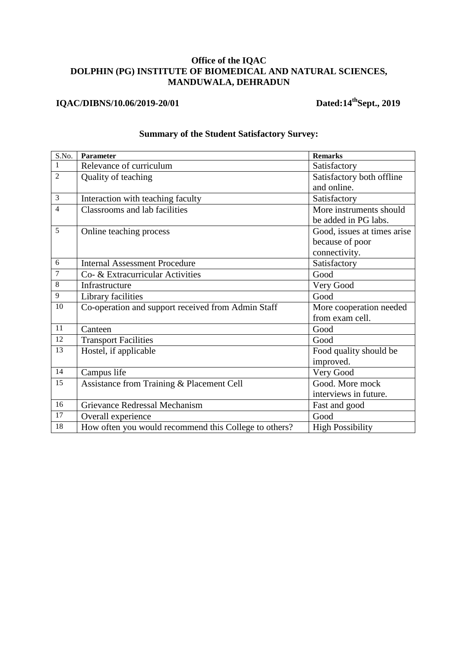## **Office of the IQAC DOLPHIN (PG) INSTITUTE OF BIOMEDICAL AND NATURAL SCIENCES, MANDUWALA, DEHRADUN**

## **IQAC/DIBNS/10.06/2019-20/01** Dated:14<sup>th</sup>Sept., 2019

| S.No.           | Parameter                                             | <b>Remarks</b>              |
|-----------------|-------------------------------------------------------|-----------------------------|
| $\mathbf{1}$    | Relevance of curriculum                               | Satisfactory                |
| $\overline{2}$  | Quality of teaching                                   | Satisfactory both offline   |
|                 |                                                       | and online.                 |
| $\mathfrak{Z}$  | Interaction with teaching faculty                     | Satisfactory                |
| $\overline{4}$  | Classrooms and lab facilities                         | More instruments should     |
|                 |                                                       | be added in PG labs.        |
| 5               | Online teaching process                               | Good, issues at times arise |
|                 |                                                       | because of poor             |
|                 |                                                       | connectivity.               |
| 6               | <b>Internal Assessment Procedure</b>                  | Satisfactory                |
| $\overline{7}$  | Co- & Extracurricular Activities                      | Good                        |
| $\,8\,$         | Infrastructure                                        | Very Good                   |
| $\mathbf{9}$    | Library facilities                                    | Good                        |
| 10              | Co-operation and support received from Admin Staff    | More cooperation needed     |
|                 |                                                       | from exam cell.             |
| 11              | Canteen                                               | Good                        |
| $\overline{12}$ | <b>Transport Facilities</b>                           | Good                        |
| $\overline{13}$ | Hostel, if applicable                                 | Food quality should be      |
|                 |                                                       | improved.                   |
| 14              | Campus life                                           | Very Good                   |
| 15              | Assistance from Training & Placement Cell             | Good. More mock             |
|                 |                                                       | interviews in future.       |
| 16              | Grievance Redressal Mechanism                         | Fast and good               |
| 17              | Overall experience                                    | Good                        |
| 18              | How often you would recommend this College to others? | <b>High Possibility</b>     |

## **Summary of the Student Satisfactory Survey:**